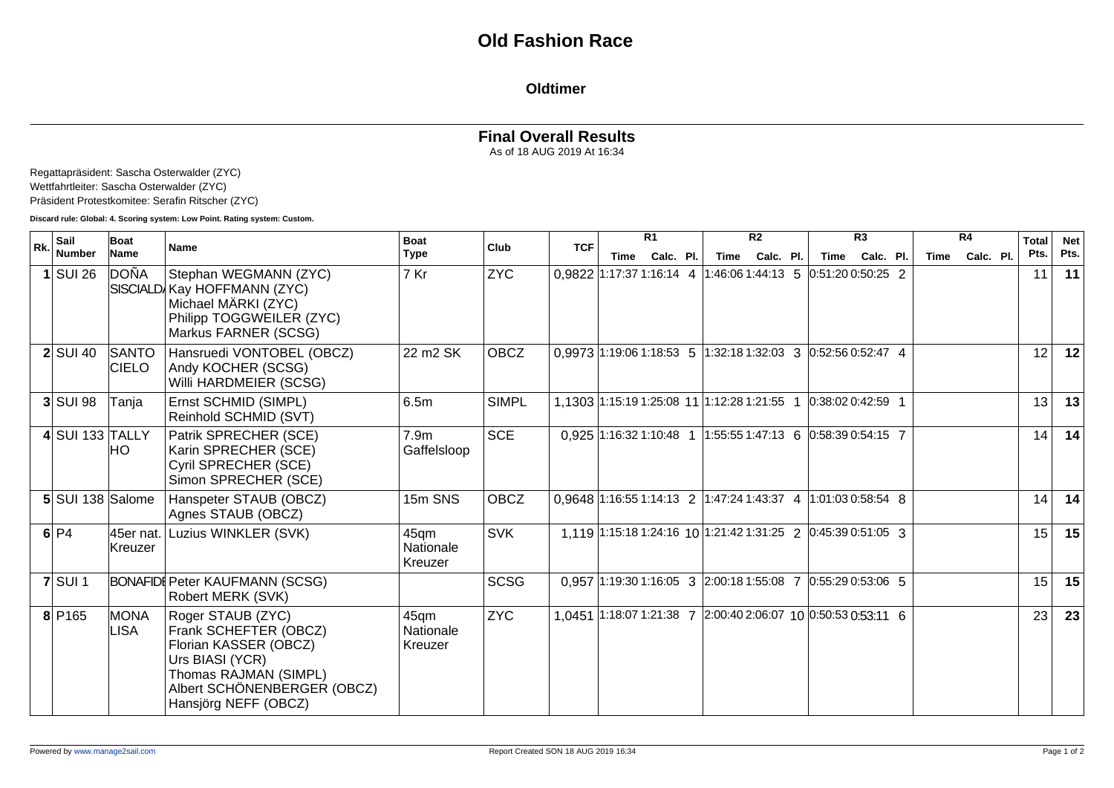## **Oldtimer**

## **Final Overall Results**

As of 18 AUG 2019 At 16:34

Regattapräsident: Sascha Osterwalder (ZYC) Wettfahrtleiter: Sascha Osterwalder (ZYC) Präsident Protestkomitee: Serafin Ritscher (ZYC)

**Discard rule: Global: 4. Scoring system: Low Point. Rating system: Custom.**

| Rk. | Sail               | Boat                  | <b>Name</b>                                                                                                                                                            | <b>Boat</b>                     | Club         | <b>TCF</b>                                                     |      | R <sub>1</sub> |                                             | R <sub>2</sub> |                                                                | R3        |      | R4        | <b>Total</b>    | <b>Net</b> |
|-----|--------------------|-----------------------|------------------------------------------------------------------------------------------------------------------------------------------------------------------------|---------------------------------|--------------|----------------------------------------------------------------|------|----------------|---------------------------------------------|----------------|----------------------------------------------------------------|-----------|------|-----------|-----------------|------------|
|     | <b>Number</b>      | Name                  |                                                                                                                                                                        | <b>Type</b>                     |              |                                                                | Time | Calc. Pl.      | Time                                        | Calc. Pl.      | Time                                                           | Calc. Pl. | Time | Calc. Pl. | Pts.            | Pts.       |
|     | $1$ SUI 26         | DOÑA                  | Stephan WEGMANN (ZYC)<br>SISCIALD Kay HOFFMANN (ZYC)<br>Michael MÄRKI (ZYC)<br>Philipp TOGGWEILER (ZYC)<br>Markus FARNER (SCSG)                                        | 7 Kr                            | <b>ZYC</b>   | 0.9822 1:17:37 1:16:14 4 1:46:06 1:44:13 5 0:51:20 0:50:25 2   |      |                |                                             |                |                                                                |           |      |           | 11              | 11         |
|     | $2$ SUI 40         | SANTO<br><b>CIELO</b> | Hansruedi VONTOBEL (OBCZ)<br>Andy KOCHER (SCSG)<br>Willi HARDMEIER (SCSG)                                                                                              | 22 m2 SK                        | OBCZ         | $0.9973$ 1:19:06 1:18:53 5 1:32:18 1:32:03 3 0:52:56 0:52:47 4 |      |                |                                             |                |                                                                |           |      |           | 12              | 12         |
|     | $3$ SUI 98         | Tanja                 | Ernst SCHMID (SIMPL)<br>Reinhold SCHMID (SVT)                                                                                                                          | 6.5m                            | <b>SIMPL</b> |                                                                |      |                | 1.1303 1:15:19 1:25:08 11 1:12:28 1:21:55 1 |                | $0:38:020:42:59$ 1                                             |           |      |           | 13 <sup>1</sup> | 13         |
|     | $4$ SUI 133 TALLY  | HO.                   | Patrik SPRECHER (SCE)<br>Karin SPRECHER (SCE)<br>Cyril SPRECHER (SCE)<br>Simon SPRECHER (SCE)                                                                          | 7.9 <sub>m</sub><br>Gaffelsloop | <b>SCE</b>   |                                                                |      |                |                                             |                | $0.925$ 1:16:32 1:10:48 1 1:55:55 1:47:13 6 0:58:39 0:54:15 7  |           |      |           | 14              | 14         |
|     | 5 SUI 138 Salome   |                       | Hanspeter STAUB (OBCZ)<br>Agnes STAUB (OBCZ)                                                                                                                           | 15m SNS                         | <b>OBCZ</b>  | 0,9648 1:16:55 1:14:13 2 1:47:24 1:43:37 4 1:01:03 0:58:54 8   |      |                |                                             |                |                                                                |           |      |           | 14              | 14         |
|     | 6 P4               | 45er nat.<br>Kreuzer  | Luzius WINKLER (SVK)                                                                                                                                                   | 45qm<br>Nationale<br>Kreuzer    | <b>SVK</b>   |                                                                |      |                |                                             |                | $1.119$ 1:15:18 1:24:16 10 1:21:42 1:31:25 2 0:45:39 0:51:05 3 |           |      |           | 15              | 15         |
|     | $7$ SUI 1          |                       | <b>BONAFIDI Peter KAUFMANN (SCSG)</b><br>Robert MERK (SVK)                                                                                                             |                                 | <b>SCSG</b>  |                                                                |      |                |                                             |                | 0.957 1:19:30 1:16:05 3 2:00:18 1:55:08 7 0:55:29 0:53:06 5    |           |      |           | 15              | 15         |
|     | 8 P <sub>165</sub> | <b>MONA</b><br>LISA   | Roger STAUB (ZYC)<br>Frank SCHEFTER (OBCZ)<br>Florian KASSER (OBCZ)<br>Urs BIASI (YCR)<br>Thomas RAJMAN (SIMPL)<br>Albert SCHÖNENBERGER (OBCZ)<br>Hansjörg NEFF (OBCZ) | 45qm<br>Nationale<br>Kreuzer    | <b>ZYC</b>   |                                                                |      |                |                                             |                | 1,0451 1:18:07 1:21:38 7 2:00:40 2:06:07 10 0:50:53 0:53:11 6  |           |      |           | 23              | 23         |